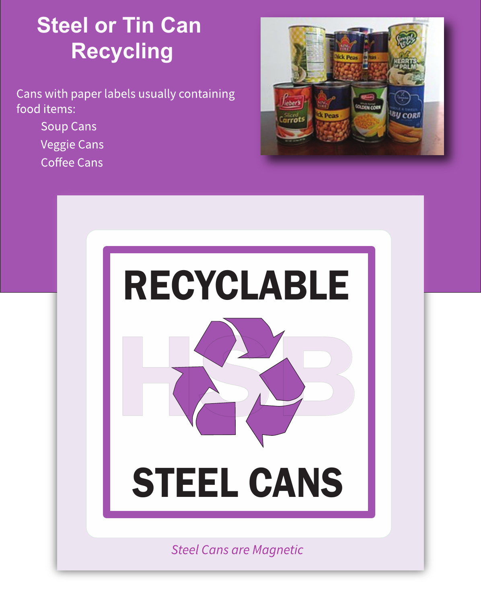# **Steel or Tin Can Recycling**

Cans with paper labels usually containing food items:

- **Soup Cans**
- **Veggie Cans**
- **Coffee Cans**